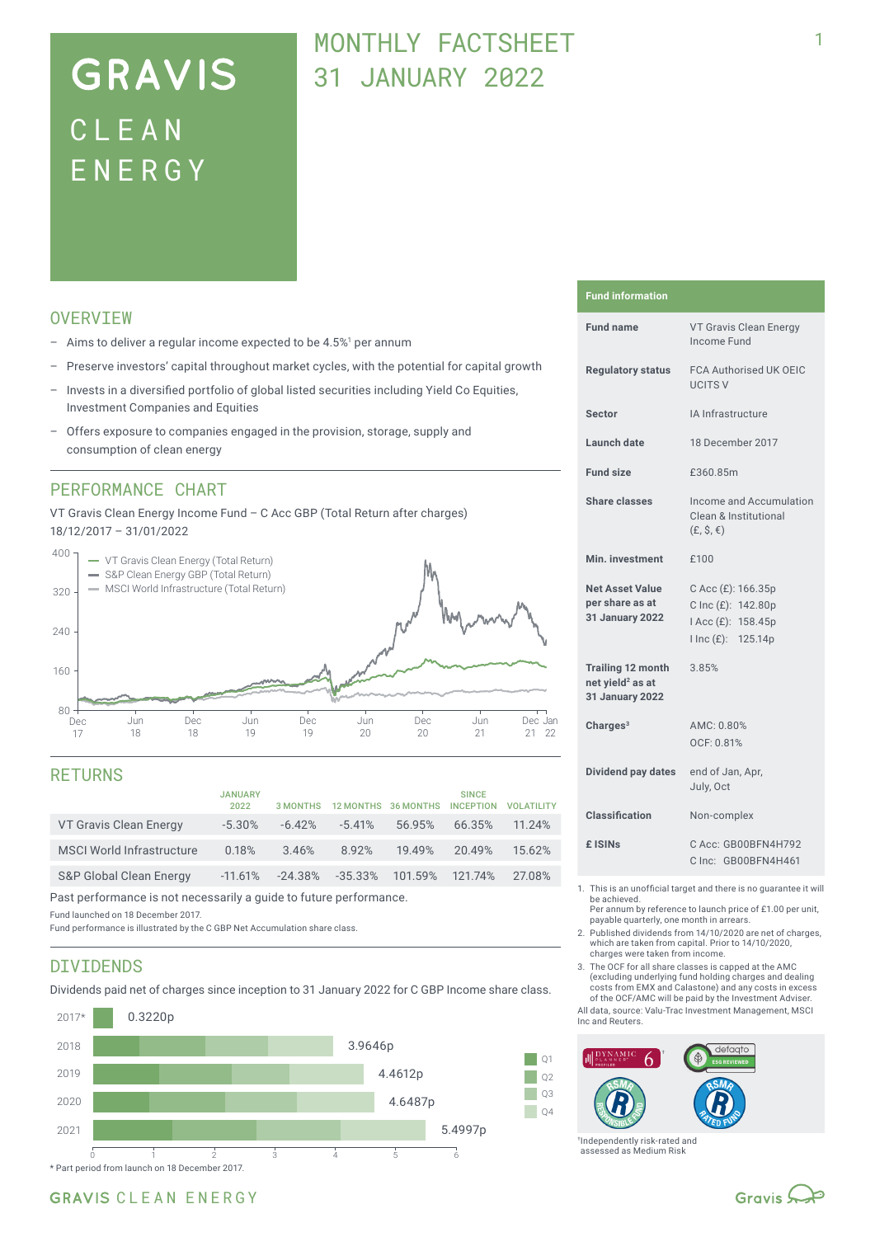# **GRAVIS** CLEA N ENERG Y

## MONTHLY FACTSHEET 31 JANUARY 2022

## **OVERVTEW**

- $-$  Aims to deliver a regular income expected to be 4.5%<sup>1</sup> per annum
- Preserve investors' capital throughout market cycles, with the potential for capital growth
- Invests in a diversified portfolio of global listed securities including Yield Co Equities, Investment Companies and Equities
- Offers exposure to companies engaged in the provision, storage, supply and consumption of clean energy

### PERFORMANCE CHART

VT Gravis Clean Energy Income Fund – C Acc GBP (Total Return after charges) 18/12/2017 – 31/01/2022



### RETURNS

|                                    | <b>JANUARY</b><br>2022 | 3 MONTHS  |            | 12 MONTHS 36 MONTHS | <b>SINCE</b><br><b>INCEPTION</b> | <b>VOI ATILITY</b> |
|------------------------------------|------------------------|-----------|------------|---------------------|----------------------------------|--------------------|
| VT Gravis Clean Energy             | $-5.30\%$              | $-6.42%$  | $-5.41%$   | 56.95%              | 66.35%                           | 11.24%             |
| <b>MSCI World Infrastructure</b>   | 0.18%                  | 3.46%     | 8.92%      | 19.49%              | 20.49%                           | 15.62%             |
| <b>S&amp;P Global Clean Energy</b> | $-11.61%$              | $-24.38%$ | $-35.33\%$ | 101.59%             | 121.74%                          | 27.08%             |

Past performance is not necessarily a guide to future performance.

Fund launched on 18 December 2017.

Fund performance is illustrated by the C GBP Net Accumulation share class.

### DIVIDENDS

Dividends paid net of charges since inception to 31 January 2022 for C GBP Income share class.



#### **Fund information**

| <b>Fund name</b>                                                            | VT Gravis Clean Energy<br>Income Fund                                                |  |  |
|-----------------------------------------------------------------------------|--------------------------------------------------------------------------------------|--|--|
| <b>Regulatory status</b>                                                    | <b>FCA Authorised UK OEIC</b><br><b>UCITS V</b>                                      |  |  |
| Sector                                                                      | IA Infrastructure                                                                    |  |  |
| Launch date                                                                 | 18 December 2017                                                                     |  |  |
| <b>Fund size</b>                                                            | £360.85m                                                                             |  |  |
| <b>Share classes</b>                                                        | Income and Accumulation<br>Clean & Institutional<br>$(E, \hat{S}, \epsilon)$         |  |  |
| Min. investment                                                             | £100                                                                                 |  |  |
| <b>Net Asset Value</b><br>per share as at<br><b>31 January 2022</b>         | C Acc (£): 166.35p<br>C Inc (£): 142.80p<br>I Acc (£): 158.45p<br>I Inc (£): 125.14p |  |  |
| <b>Trailing 12 month</b><br>net yield <sup>2</sup> as at<br>31 January 2022 | 3.85%                                                                                |  |  |
| Charges $3$                                                                 | AMC: 0.80%<br>OCF: 0.81%                                                             |  |  |
| Dividend pay dates                                                          | end of Jan, Apr,<br>July, Oct                                                        |  |  |
| Classification                                                              | Non-complex                                                                          |  |  |
| £ ISIN <sub>S</sub>                                                         | C Acc: GB00BFN4H792<br>C Inc: GB00BFN4H461                                           |  |  |
|                                                                             |                                                                                      |  |  |

- 1. This is an unofficial target and there is no guarantee it will be achieved.
	- Per annum by reference to launch price of £1.00 per unit, payable quarterly, one month in arrears.
- 2. Published dividends from 14/10/2020 are net of charges, which are taken from capital. Prior to 14/10/2020, charges were taken from income.
- 3. The OCF for all share classes is capped at the AMC (excluding underlying fund holding charges and dealing costs from EMX and Calastone) and any costs in excess of the OCF/AMC will be paid by the Investment Adviser.
- All data, source: Valu-Trac Investment Management, MSCI Inc and Reuters.



†Independently risk-rated and assessed as Medium Risk

## GRAVIS CLEAN ENERGY

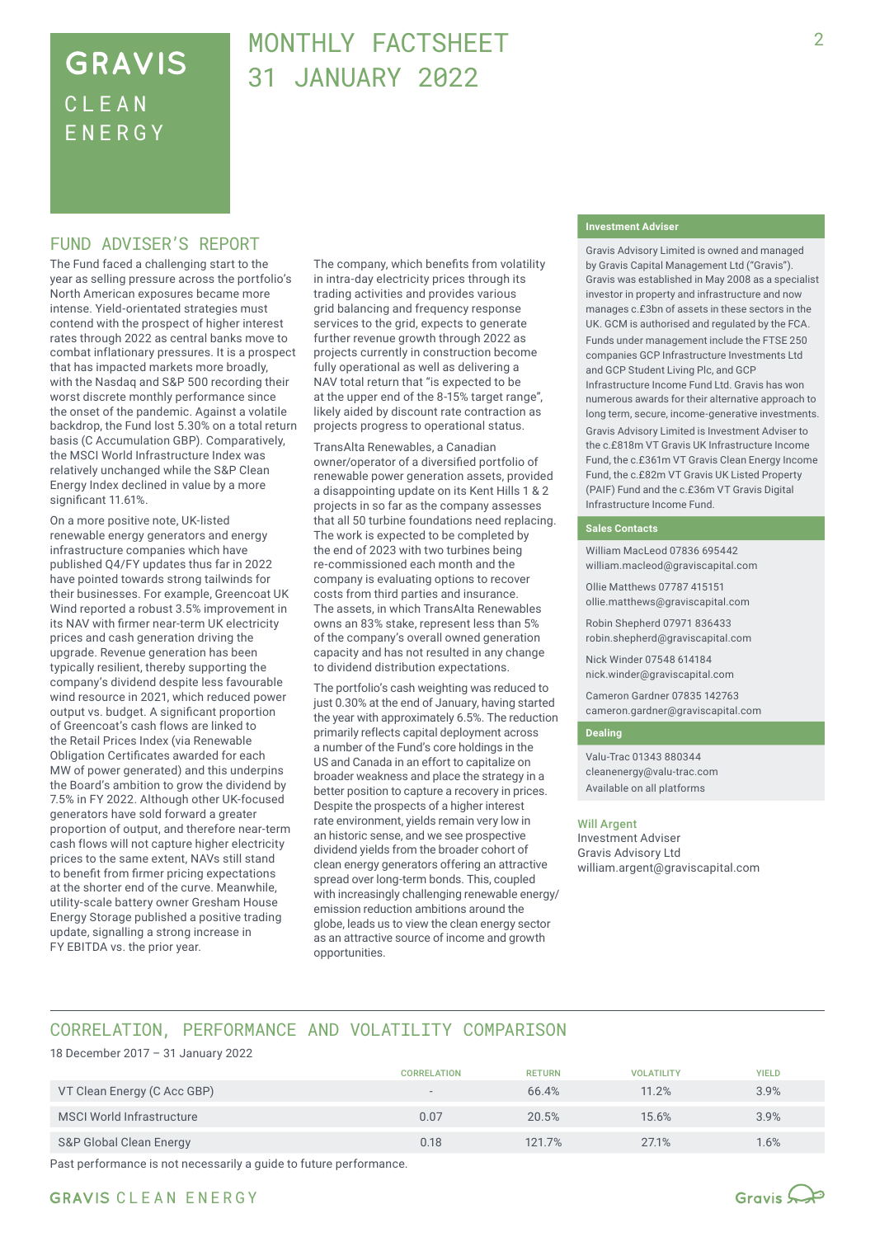## **GRAVIS** CLEA N ENERG Y

## MONTHLY FACTSHEFT 31 JANUARY 2022

### FUND ADVISER'S REPORT

The Fund faced a challenging start to the year as selling pressure across the portfolio's North American exposures became more intense. Yield-orientated strategies must contend with the prospect of higher interest rates through 2022 as central banks move to combat inflationary pressures. It is a prospect that has impacted markets more broadly, with the Nasdaq and S&P 500 recording their worst discrete monthly performance since the onset of the pandemic. Against a volatile backdrop, the Fund lost 5.30% on a total return basis (C Accumulation GBP). Comparatively, the MSCI World Infrastructure Index was relatively unchanged while the S&P Clean Energy Index declined in value by a more significant 11.61%.

On a more positive note, UK-listed renewable energy generators and energy infrastructure companies which have published Q4/FY updates thus far in 2022 have pointed towards strong tailwinds for their businesses. For example, Greencoat UK Wind reported a robust 3.5% improvement in its NAV with firmer near-term UK electricity prices and cash generation driving the upgrade. Revenue generation has been typically resilient, thereby supporting the company's dividend despite less favourable wind resource in 2021, which reduced power output vs. budget. A significant proportion of Greencoat's cash flows are linked to the Retail Prices Index (via Renewable Obligation Certificates awarded for each MW of power generated) and this underpins the Board's ambition to grow the dividend by 7.5% in FY 2022. Although other UK-focused generators have sold forward a greater proportion of output, and therefore near-term cash flows will not capture higher electricity prices to the same extent, NAVs still stand to benefit from firmer pricing expectations at the shorter end of the curve. Meanwhile, utility-scale battery owner Gresham House Energy Storage published a positive trading update, signalling a strong increase in FY EBITDA vs. the prior year.

The company, which benefits from volatility in intra-day electricity prices through its trading activities and provides various grid balancing and frequency response services to the grid, expects to generate further revenue growth through 2022 as projects currently in construction become fully operational as well as delivering a NAV total return that "is expected to be at the upper end of the 8-15% target range", likely aided by discount rate contraction as projects progress to operational status.

TransAlta Renewables, a Canadian owner/operator of a diversified portfolio of renewable power generation assets, provided a disappointing update on its Kent Hills 1 & 2 projects in so far as the company assesses that all 50 turbine foundations need replacing. The work is expected to be completed by the end of 2023 with two turbines being re-commissioned each month and the company is evaluating options to recover costs from third parties and insurance. The assets, in which TransAlta Renewables owns an 83% stake, represent less than 5% of the company's overall owned generation capacity and has not resulted in any change to dividend distribution expectations.

The portfolio's cash weighting was reduced to just 0.30% at the end of January, having started the year with approximately 6.5%. The reduction primarily reflects capital deployment across a number of the Fund's core holdings in the US and Canada in an effort to capitalize on broader weakness and place the strategy in a better position to capture a recovery in prices. Despite the prospects of a higher interest rate environment, yields remain very low in an historic sense, and we see prospective dividend yields from the broader cohort of clean energy generators offering an attractive spread over long-term bonds. This, coupled with increasingly challenging renewable energy/ emission reduction ambitions around the globe, leads us to view the clean energy sector as an attractive source of income and growth opportunities.

#### **Investment Adviser**

Gravis Advisory Limited is owned and managed by Gravis Capital Management Ltd ("Gravis"). Gravis was established in May 2008 as a specialist investor in property and infrastructure and now manages c.£3bn of assets in these sectors in the UK. GCM is authorised and regulated by the FCA.

Funds under management include the FTSE 250 companies GCP Infrastructure Investments Ltd and GCP Student Living Plc, and GCP Infrastructure Income Fund Ltd. Gravis has won numerous awards for their alternative approach to long term, secure, income-generative investments. Gravis Advisory Limited is Investment Adviser to the c.£818m VT Gravis UK Infrastructure Income

Fund, the c.£361m VT Gravis Clean Energy Income Fund, the c.£82m VT Gravis UK Listed Property (PAIF) Fund and the c.£36m VT Gravis Digital Infrastructure Income Fund.

#### **Sales Contacts**

William MacLeod 07836 695442 william.macleod@graviscapital.com

Ollie Matthews 07787 415151 ollie.matthews@graviscapital.com

Robin Shepherd 07971 836433 robin.shepherd@graviscapital.com

Nick Winder 07548 614184 nick.winder@graviscapital.com

Cameron Gardner 07835 142763 cameron.gardner@graviscapital.com

#### **Dealing**

Valu-Trac 01343 880344 cleanenergy@valu-trac.com Available on all platforms

#### Will Argent

Investment Adviser Gravis Advisory Ltd william.argent@graviscapital.com

## CORRELATION, PERFORMANCE AND VOLATILITY COMPARISON

18 December 2017 – 31 January 2022

|                             | <b>CORRELATION</b>       | <b>RETURN</b> | <b>VOLATILITY</b> | <b>YIELD</b> |
|-----------------------------|--------------------------|---------------|-------------------|--------------|
| VT Clean Energy (C Acc GBP) | $\overline{\phantom{a}}$ | 66.4%         | 11.2%             | 3.9%         |
| MSCI World Infrastructure   | 0.07                     | 20.5%         | 15.6%             | 3.9%         |
| S&P Global Clean Energy     | 0.18                     | 121.7%        | 27.1%             | 1.6%         |

Past performance is not necessarily a guide to future performance.